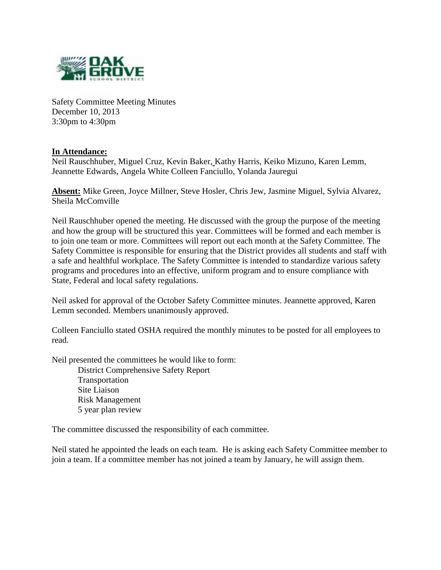

Safety Committee Meeting Minutes December 10, 2013 3:30pm to 4:30pm

## **In Attendance:**

Neil Rauschhuber, Miguel Cruz, Kevin Baker, Kathy Harris, Keiko Mizuno, Karen Lemm, Jeannette Edwards, Angela White Colleen Fanciullo, Yolanda Jauregui

**Absent:** Mike Green, Joyce Millner, Steve Hosler, Chris Jew, Jasmine Miguel, Sylvia Alvarez, Sheila McComville

Neil Rauschhuber opened the meeting. He discussed with the group the purpose of the meeting and how the group will be structured this year. Committees will be formed and each member is to join one team or more. Committees will report out each month at the Safety Committee. The Safety Committee is responsible for ensuring that the District provides all students and staff with a safe and healthful workplace. The Safety Committee is intended to standardize various safety programs and procedures into an effective, uniform program and to ensure compliance with State, Federal and local safety regulations.

Neil asked for approval of the October Safety Committee minutes. Jeannette approved, Karen Lemm seconded. Members unanimously approved.

Colleen Fanciullo stated OSHA required the monthly minutes to be posted for all employees to read.

Neil presented the committees he would like to form:

District Comprehensive Safety Report Transportation Site Liaison Risk Management 5 year plan review

The committee discussed the responsibility of each committee.

Neil stated he appointed the leads on each team. He is asking each Safety Committee member to join a team. If a committee member has not joined a team by January, he will assign them.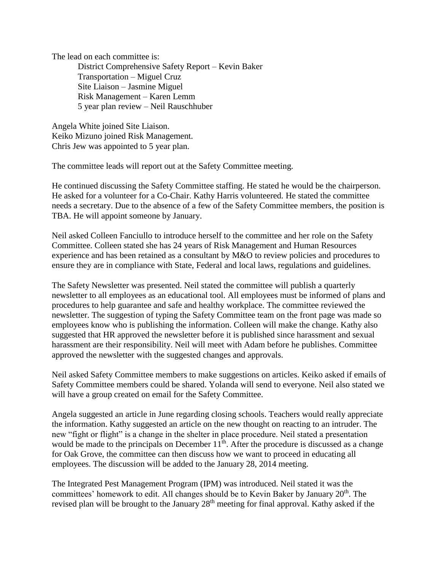The lead on each committee is:

District Comprehensive Safety Report – Kevin Baker Transportation – Miguel Cruz Site Liaison – Jasmine Miguel Risk Management – Karen Lemm 5 year plan review – Neil Rauschhuber

Angela White joined Site Liaison. Keiko Mizuno joined Risk Management. Chris Jew was appointed to 5 year plan.

The committee leads will report out at the Safety Committee meeting.

He continued discussing the Safety Committee staffing. He stated he would be the chairperson. He asked for a volunteer for a Co-Chair. Kathy Harris volunteered. He stated the committee needs a secretary. Due to the absence of a few of the Safety Committee members, the position is TBA. He will appoint someone by January.

Neil asked Colleen Fanciullo to introduce herself to the committee and her role on the Safety Committee. Colleen stated she has 24 years of Risk Management and Human Resources experience and has been retained as a consultant by M&O to review policies and procedures to ensure they are in compliance with State, Federal and local laws, regulations and guidelines.

The Safety Newsletter was presented. Neil stated the committee will publish a quarterly newsletter to all employees as an educational tool. All employees must be informed of plans and procedures to help guarantee and safe and healthy workplace. The committee reviewed the newsletter. The suggestion of typing the Safety Committee team on the front page was made so employees know who is publishing the information. Colleen will make the change. Kathy also suggested that HR approved the newsletter before it is published since harassment and sexual harassment are their responsibility. Neil will meet with Adam before he publishes. Committee approved the newsletter with the suggested changes and approvals.

Neil asked Safety Committee members to make suggestions on articles. Keiko asked if emails of Safety Committee members could be shared. Yolanda will send to everyone. Neil also stated we will have a group created on email for the Safety Committee.

Angela suggested an article in June regarding closing schools. Teachers would really appreciate the information. Kathy suggested an article on the new thought on reacting to an intruder. The new "fight or flight" is a change in the shelter in place procedure. Neil stated a presentation would be made to the principals on December  $11<sup>th</sup>$ . After the procedure is discussed as a change for Oak Grove, the committee can then discuss how we want to proceed in educating all employees. The discussion will be added to the January 28, 2014 meeting.

The Integrated Pest Management Program (IPM) was introduced. Neil stated it was the committees' homework to edit. All changes should be to Kevin Baker by January 20<sup>th</sup>. The revised plan will be brought to the January 28<sup>th</sup> meeting for final approval. Kathy asked if the